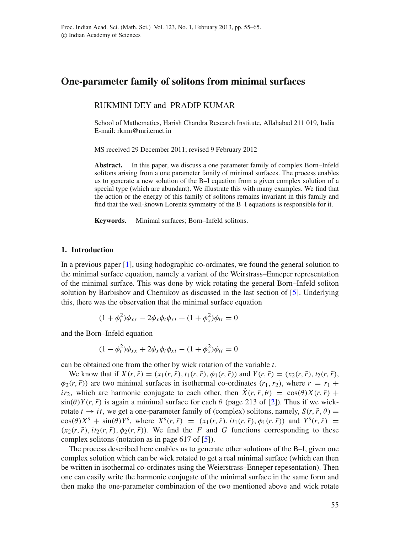# **One-parameter family of solitons from minimal surfaces**

RUKMINI DEY and PRADIP KUMAR

School of Mathematics, Harish Chandra Research Institute, Allahabad 211 019, India E-mail: rkmn@mri.ernet.in

MS received 29 December 2011; revised 9 February 2012

**Abstract.** In this paper, we discuss a one parameter family of complex Born–Infeld solitons arising from a one parameter family of minimal surfaces. The process enables us to generate a new solution of the B–I equation from a given complex solution of a special type (which are abundant). We illustrate this with many examples. We find that the action or the energy of this family of solitons remains invariant in this family and find that the well-known Lorentz symmetry of the B–I equations is responsible for it.

**Keywords.** Minimal surfaces; Born–Infeld solitons.

#### **1. Introduction**

In a previous paper [\[1\]](#page-10-0), using hodographic co-ordinates, we found the general solution to the minimal surface equation, namely a variant of the Weirstrass–Enneper representation of the minimal surface. This was done by wick rotating the general Born–Infeld soliton solution by Barbishov and Chernikov as discussed in the last section of [\[5\]](#page-10-1). Underlying this, there was the observation that the minimal surface equation

$$
(1 + \phi_t^2)\phi_{xx} - 2\phi_x\phi_t\phi_{xt} + (1 + \phi_x^2)\phi_{tt} = 0
$$

and the Born–Infeld equation

$$
(1 - \phi_t^2)\phi_{xx} + 2\phi_x\phi_t\phi_{xt} - (1 + \phi_x^2)\phi_{tt} = 0
$$

can be obtained one from the other by wick rotation of the variable *t*.

We know that if  $X(r, \bar{r}) = (x_1(r, \bar{r}), t_1(r, \bar{r}), \phi_1(r, \bar{r}))$  and  $Y(r, \bar{r}) = (x_2(r, \bar{r}), t_2(r, \bar{r}),$  $\phi_2(r,\bar{r})$ ) are two minimal surfaces in isothermal co-ordinates  $(r_1,r_2)$ , where  $r = r_1 + r_2$ *ir*<sub>2</sub>, which are harmonic conjugate to each other, then  $\bar{X}(r, \bar{r}, \theta) = \cos(\theta)X(r, \bar{r}) +$  $\sin(\theta)Y(r, \bar{r})$  is again a minimal surface for each  $\theta$  (page 213 of [\[2\]](#page-10-2)). Thus if we wickrotate  $t \rightarrow it$ , we get a one-parameter family of (complex) solitons, namely,  $S(r, \bar{r}, \theta) =$  $\cos(\theta)X^s + \sin(\theta)Y^s$ , where  $X^s(r, \bar{r}) = (x_1(r, \bar{r}), it_1(r, \bar{r}), \phi_1(r, \bar{r}))$  and  $Y^s(r, \bar{r}) =$  $(x_2(r, \bar{r}), it_2(r, \bar{r}), \phi_2(r, \bar{r}))$ . We find the *F* and *G* functions corresponding to these complex solitons (notation as in page 617 of [\[5\]](#page-10-1)).

The process described here enables us to generate other solutions of the B–I, given one complex solution which can be wick rotated to get a real minimal surface (which can then be written in isothermal co-ordinates using the Weierstrass–Enneper repesentation). Then one can easily write the harmonic conjugate of the minimal surface in the same form and then make the one-parameter combination of the two mentioned above and wick rotate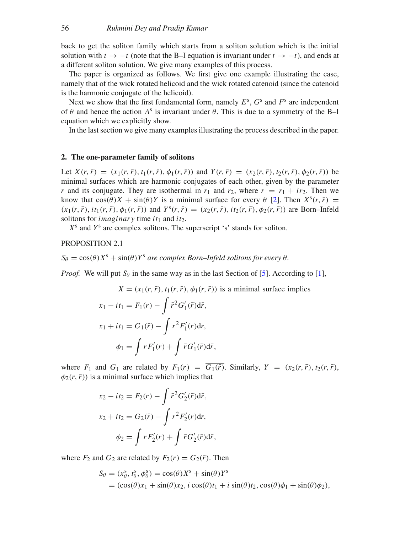back to get the soliton family which starts from a soliton solution which is the initial solution with  $t \to -t$  (note that the B–I equation is invariant under  $t \to -t$ ), and ends at a different soliton solution. We give many examples of this process.

The paper is organized as follows. We first give one example illustrating the case, namely that of the wick rotated helicoid and the wick rotated catenoid (since the catenoid is the harmonic conjugate of the helicoid).

Next we show that the first fundamental form, namely  $E^s$ ,  $G^s$  and  $F^s$  are independent of  $\theta$  and hence the action  $A^s$  is invariant under  $\theta$ . This is due to a symmetry of the B–I equation which we explicitly show.

In the last section we give many examples illustrating the process described in the paper.

## **2. The one-parameter family of solitons**

Let  $X(r, \bar{r}) = (x_1(r, \bar{r}), t_1(r, \bar{r}), \phi_1(r, \bar{r}))$  and  $Y(r, \bar{r}) = (x_2(r, \bar{r}), t_2(r, \bar{r}), \phi_2(r, \bar{r}))$  be minimal surfaces which are harmonic conjugates of each other, given by the parameter *r* and its conjugate. They are isothermal in  $r_1$  and  $r_2$ , where  $r = r_1 + ir_2$ . Then we know that  $cos(\theta)X + sin(\theta)Y$  is a minimal surface for every  $\theta$  [\[2\]](#page-10-2). Then  $X^{s}(r, \bar{r})$  =  $(x_1(r, \bar{r}), it_1(r, \bar{r}), \phi_1(r, \bar{r}))$  and  $Y^s(r, \bar{r}) = (x_2(r, \bar{r}), it_2(r, \bar{r}), \phi_2(r, \bar{r}))$  are Born-Infeld solitons for *imaginary* time  $it_1$  and  $it_2$ .

*X*<sup>s</sup> and *Y*<sup>s</sup> are complex solitons. The superscript 's' stands for soliton.

PROPOSITION 2.1

 $S_{\theta} = \cos(\theta)X^{s} + \sin(\theta)Y^{s}$  *are complex Born–Infeld solitons for every*  $\theta$ .

*Proof.* We will put  $S_\theta$  in the same way as in the last Section of [\[5\]](#page-10-1). According to [\[1\]](#page-10-0),

$$
X = (x_1(r, \bar{r}), t_1(r, \bar{r}), \phi_1(r, \bar{r})) \text{ is a minimal surface implies}
$$
  
\n
$$
x_1 - it_1 = F_1(r) - \int \bar{r}^2 G'_1(\bar{r}) d\bar{r},
$$
  
\n
$$
x_1 + it_1 = G_1(\bar{r}) - \int r^2 F'_1(r) dr,
$$
  
\n
$$
\phi_1 = \int r F'_1(r) + \int \bar{r} G'_1(\bar{r}) d\bar{r},
$$

where  $F_1$  and  $G_1$  are related by  $F_1(r) = \overline{G_1(\overline{r})}$ . Similarly,  $Y = (x_2(r, \overline{r}), t_2(r, \overline{r}),$  $\phi_2(r,\bar{r})$ ) is a minimal surface which implies that

$$
x_2 - it_2 = F_2(r) - \int \bar{r}^2 G'_2(\bar{r}) d\bar{r},
$$
  
\n
$$
x_2 + it_2 = G_2(\bar{r}) - \int r^2 F'_2(r) dr,
$$
  
\n
$$
\phi_2 = \int r F'_2(r) + \int \bar{r} G'_2(\bar{r}) d\bar{r},
$$

where  $F_2$  and  $G_2$  are related by  $F_2(r) = \overline{G_2(\overline{r})}$ . Then

$$
S_{\theta} = (x_{\theta}^s, t_{\theta}^s, \phi_{\theta}^s) = \cos(\theta)X^s + \sin(\theta)Y^s
$$
  
=  $(\cos(\theta)x_1 + \sin(\theta)x_2, i \cos(\theta)t_1 + i \sin(\theta)t_2, \cos(\theta)\phi_1 + \sin(\theta)\phi_2),$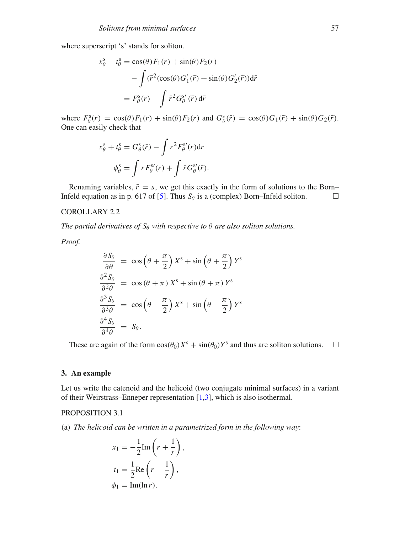where superscript 's' stands for soliton.

$$
x_{\theta}^{s} - t_{\theta}^{s} = \cos(\theta) F_{1}(r) + \sin(\theta) F_{2}(r)
$$

$$
- \int (\bar{r}^{2}(\cos(\theta)G'_{1}(\bar{r}) + \sin(\theta)G'_{2}(\bar{r}))d\bar{r}
$$

$$
= F_{\theta}^{s}(r) - \int \bar{r}^{2}G_{\theta}^{s'}(\bar{r}) d\bar{r}
$$

where  $F^s_\theta(r) = \cos(\theta) F_1(r) + \sin(\theta) F_2(r)$  and  $G^s_\theta(\bar{r}) = \cos(\theta) G_1(\bar{r}) + \sin(\theta) G_2(\bar{r})$ . One can easily check that

$$
x_{\theta}^{s} + t_{\theta}^{s} = G_{\theta}^{s}(\bar{r}) - \int r^{2} F_{\theta}^{s}(r) dr
$$

$$
\phi_{\theta}^{s} = \int r F_{\theta}^{s}(r) + \int \bar{r} G_{\theta}^{s}(\bar{r}).
$$

Renaming variables,  $\bar{r} = s$ , we get this exactly in the form of solutions to the Born– Infeld equation as in p. 617 of [\[5\]](#page-10-1). Thus  $S_\theta$  is a (complex) Born–Infeld soliton.  $\Box$ 

## COROLLARY 2.2

*The partial derivatives of*  $S_{\theta}$  *with respective to*  $\theta$  *are also soliton solutions.* 

*Proof.*

$$
\frac{\partial S_{\theta}}{\partial \theta} = \cos \left(\theta + \frac{\pi}{2}\right) X^{s} + \sin \left(\theta + \frac{\pi}{2}\right) Y^{s}
$$

$$
\frac{\partial^{2} S_{\theta}}{\partial^{2} \theta} = \cos \left(\theta + \pi\right) X^{s} + \sin \left(\theta + \pi\right) Y^{s}
$$

$$
\frac{\partial^{3} S_{\theta}}{\partial^{3} \theta} = \cos \left(\theta - \frac{\pi}{2}\right) X^{s} + \sin \left(\theta - \frac{\pi}{2}\right) Y^{s}
$$

$$
\frac{\partial^{4} S_{\theta}}{\partial^{4} \theta} = S_{\theta}.
$$

These are again of the form  $cos(\theta_0)X^s + sin(\theta_0)Y^s$  and thus are soliton solutions.  $\Box$ 

### **3. An example**

Let us write the catenoid and the helicoid (two conjugate minimal surfaces) in a variant of their Weirstrass–Enneper representation [\[1,](#page-10-0)[3\]](#page-10-3), which is also isothermal.

## PROPOSITION 3.1

(a) *The helicoid can be written in a parametrized form in the following way*:

$$
x_1 = -\frac{1}{2} \text{Im} \left( r + \frac{1}{r} \right),
$$
  
\n
$$
t_1 = \frac{1}{2} \text{Re} \left( r - \frac{1}{r} \right),
$$
  
\n
$$
\phi_1 = \text{Im}(\ln r).
$$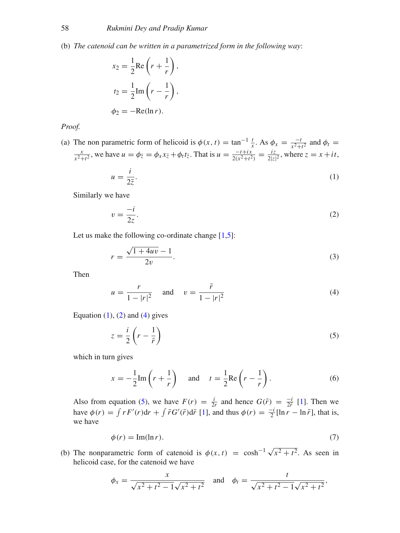(b) *The catenoid can be written in a parametrized form in the following way*:

$$
x_2 = \frac{1}{2} \text{Re}\left(r + \frac{1}{r}\right),
$$
  
\n
$$
t_2 = \frac{1}{2} \text{Im}\left(r - \frac{1}{r}\right),
$$
  
\n
$$
\phi_2 = -\text{Re}(\ln r).
$$

*Proof.*

(a) The non parametric form of helicoid is  $\phi(x, t) = \tan^{-1} \frac{t}{x}$ . As  $\phi_x = \frac{-t}{x^2 + t^2}$  and  $\phi_t = \frac{x}{x^2 + t^2}$ , we have  $u = \phi_{\overline{z}} = \phi_x x_{\overline{z}} + \phi_t t_{\overline{z}}$ . That is  $u = \frac{-t + ix}{2(x^2 + t^2)} = \frac{iz}{2|z|^2}$ , where  $z = x + it$ ,

<span id="page-3-0"></span>
$$
u = \frac{i}{2\bar{z}}.\tag{1}
$$

Similarly we have

<span id="page-3-1"></span>
$$
v = \frac{-i}{2z}.\tag{2}
$$

Let us make the following co-ordinate change  $[1,5]$  $[1,5]$ :

<span id="page-3-4"></span>
$$
r = \frac{\sqrt{1 + 4uv} - 1}{2v}.
$$
 (3)

Then

<span id="page-3-2"></span>
$$
u = \frac{r}{1 - |r|^2} \quad \text{and} \quad v = \frac{\bar{r}}{1 - |r|^2} \tag{4}
$$

Equation  $(1)$ ,  $(2)$  and  $(4)$  gives

<span id="page-3-3"></span>
$$
z = \frac{i}{2} \left( r - \frac{1}{\bar{r}} \right) \tag{5}
$$

which in turn gives

$$
x = -\frac{1}{2}\operatorname{Im}\left(r + \frac{1}{r}\right) \quad \text{and} \quad t = \frac{1}{2}\operatorname{Re}\left(r - \frac{1}{r}\right). \tag{6}
$$

Also from equation [\(5\)](#page-3-3), we have  $F(r) = \frac{i}{2r}$  and hence  $G(\bar{r}) = \frac{-i}{2\bar{r}}$  [\[1\]](#page-10-0). Then we have  $\phi(r) = \int r F'(r) dr + \int \bar{r} G'(\bar{r}) d\bar{r}$  [\[1\]](#page-10-0), and thus  $\phi(r) = \frac{-i}{2} [\ln r - \ln \bar{r}]$ , that is, we have

$$
\phi(r) = \text{Im}(\ln r). \tag{7}
$$

(b) The nonparametric form of catenoid is  $\phi(x, t) = \cosh^{-1} \sqrt{x^2 + t^2}$ . As seen in helicoid case, for the catenoid we have

$$
\phi_x = \frac{x}{\sqrt{x^2 + t^2 - 1}\sqrt{x^2 + t^2}}
$$
 and  $\phi_t = \frac{t}{\sqrt{x^2 + t^2 - 1}\sqrt{x^2 + t^2}}$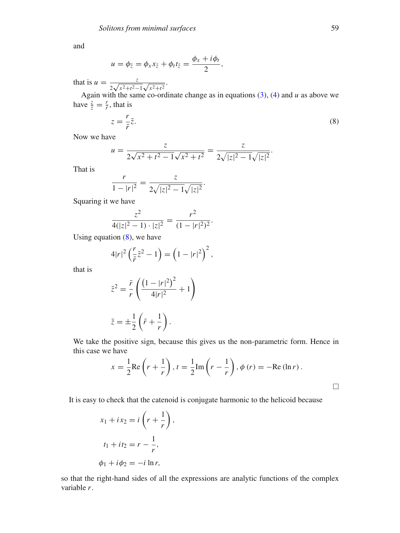and

$$
u=\phi_{\bar{z}}=\phi_x x_{\bar{z}}+\phi_t t_{\bar{z}}=\frac{\phi_x+i\phi_t}{2},
$$

that is  $u = \frac{z}{2\sqrt{x^2+t^2-1}\sqrt{x^2+t^2}}$ .

Again with the same co-ordinate change as in equations [\(3\)](#page-3-4), [\(4\)](#page-3-2) and *u* as above we have  $\frac{z}{\overline{z}} = \frac{r}{\overline{r}}$ , that is

<span id="page-4-0"></span>
$$
z = \frac{r}{\bar{r}} \bar{z}.\tag{8}
$$

Now we have

$$
u = \frac{z}{2\sqrt{x^2 + t^2 - 1}\sqrt{x^2 + t^2}} = \frac{z}{2\sqrt{|z|^2 - 1}\sqrt{|z|^2}}.
$$

That is

$$
\frac{r}{1-|r|^2} = \frac{z}{2\sqrt{|z|^2 - 1}\sqrt{|z|^2}}.
$$

Squaring it we have

$$
\frac{z^2}{4(|z|^2 - 1) \cdot |z|^2} = \frac{r^2}{(1 - |r|^2)^2}.
$$

Using equation  $(8)$ , we have

$$
4|r|^2\left(\frac{r}{\bar{r}}\bar{z}^2-1\right) = \left(1-|r|^2\right)^2,
$$

that is

$$
\bar{z}^2 = \frac{\bar{r}}{r} \left( \frac{\left(1 - |r|^2\right)^2}{4|r|^2} + 1 \right)
$$

$$
\bar{z} = \pm \frac{1}{2} \left( \bar{r} + \frac{1}{r} \right).
$$

We take the positive sign, because this gives us the non-parametric form. Hence in this case we have

$$
x = \frac{1}{2} \text{Re}\left(r + \frac{1}{r}\right), t = \frac{1}{2} \text{Im}\left(r - \frac{1}{r}\right), \phi(r) = -\text{Re}(\ln r).
$$

It is easy to check that the catenoid is conjugate harmonic to the helicoid because

,

$$
x_1 + ix_2 = i\left(r + \frac{1}{r}\right)
$$
  

$$
t_1 + it_2 = r - \frac{1}{r},
$$
  

$$
\phi_1 + i\phi_2 = -i\ln r,
$$

so that the right-hand sides of all the expressions are analytic functions of the complex variable *r*.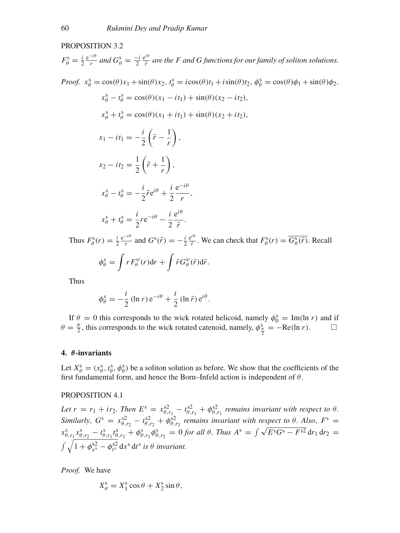## PROPOSITION 3.2

 $F^{\rm s}_{\theta} = \frac{i}{2} \frac{e^{-i\theta}}{r}$  and  $G^{\rm s}_{\theta} = \frac{-i}{2} \frac{e^{i\theta}}{\bar{r}}$  are the *F* and *G* functions for our family of soliton solutions. *Proof.*  $x_{\theta}^s = \cos(\theta)x_1 + \sin(\theta)x_2$ ,  $t_{\theta}^s = i\cos(\theta)t_1 + i\sin(\theta)t_2$ ,  $\phi_{\theta}^s = \cos(\theta)\phi_1 + \sin(\theta)\phi_2$ .  $x_{\theta}^{s} - t_{\theta}^{s} = \cos(\theta)(x_{1} - it_{1}) + \sin(\theta)(x_{2} - it_{2}),$  $x_{\theta}^s + t_{\theta}^s = \cos(\theta)(x_1 + it_1) + \sin(\theta)(x_2 + it_2),$  $x_1 - it_1 = -\frac{i}{2}$  $\left(\bar{r} - \frac{1}{r}\right)$  $\Big)$ ,  $x_2 - it_2 = \frac{1}{2}$  $\left(\bar{r}+\frac{1}{\tau}\right)$ *r*  $\Big)$ ,  $x_{\theta}^{\rm s} - t_{\theta}^{\rm s} = -\frac{i}{2}\bar{r}e^{i\theta} + \frac{i}{2}$ 2  $e^{-i\theta}$  $\frac{r}{r}$ ,  $x_{\theta}^{\rm s} + t_{\theta}^{\rm s} = \frac{i}{2} r e^{-i\theta} - \frac{i}{2}$ e*i*θ  $rac{\overline{r}}{r}$ .

Thus  $F^s_\theta(r) = \frac{i}{2} \frac{e^{-i\theta}}{r}$  and  $G^s(\bar{r}) = -\frac{i}{2} \frac{e^{i\theta}}{\bar{r}}$ . We can check that  $F^s_\theta(r) = \overline{G^s_\theta(\bar{r})}$ . Recall

$$
\phi_{\theta}^{s} = \int r F_{\theta}^{s}(r) dr + \int \bar{r} G_{\theta}^{s}(\bar{r}) d\bar{r}.
$$

Thus

$$
\phi_{\theta}^s = -\frac{i}{2} (\ln r) e^{-i\theta} + \frac{i}{2} (\ln \bar{r}) e^{i\theta}.
$$

If  $\theta = 0$  this corresponds to the wick rotated helicoid, namely  $\phi_0^s = \text{Im}(\ln r)$  and if  $\theta = \frac{\pi}{2}$ , this corresponds to the wick rotated catenoid, namely,  $\phi_{\frac{\pi}{2}}^s = -\text{Re}(\ln r)$ .

## **4.** *θ***-invariants**

Let  $X^s_\theta = (x^s_\theta, t^s_\theta, \phi^s_\theta)$  be a soliton solution as before. We show that the coefficients of the first fundamental form, and hence the Born–Infeld action is independent of  $\theta$ .

#### PROPOSITION 4.1

Let  $r = r_1 + ir_2$ . Then  $E^s = x_{\theta, r_1}^{s2} - t_{\theta, r_1}^{s2} + \phi_{\theta, r_1}^{s2}$  *remains invariant with respect to*  $\theta$ . *Similarly*,  $G^s = x_{\theta, r_2}^{s_2} - t_{\theta, r_2}^{s_2} + \phi_{\theta, r_2}^{s_2}$  *remains invariant with respect to*  $\theta$ *. Also,*  $F^s =$  $x^s_{\theta,r_1} x^s_{\theta,r_2} - t^s_{\theta,r_1} t^s_{\theta,r_2} + \phi^s_{\theta,r_1} \phi^s_{\theta,r_2} = 0$  *for all*  $\theta$ . *Thus*  $A^s = \int \sqrt{E^s G^s - F^{s2}} dr_1 dr_2 =$  $\int \sqrt{1 + \phi_{x^{\text{s}}}^{\text{s2}} - \phi_{t^{\text{s}}}^{\text{s2}} \text{ d}x^{\text{s}} \text{ d}t^{\text{s}}}$  *is*  $\theta$  *invariant.* 

*Proof.* We have

$$
X_{\theta}^{\mathrm{s}} = X_1^{\mathrm{s}} \cos \theta + X_2^{\mathrm{s}} \sin \theta,
$$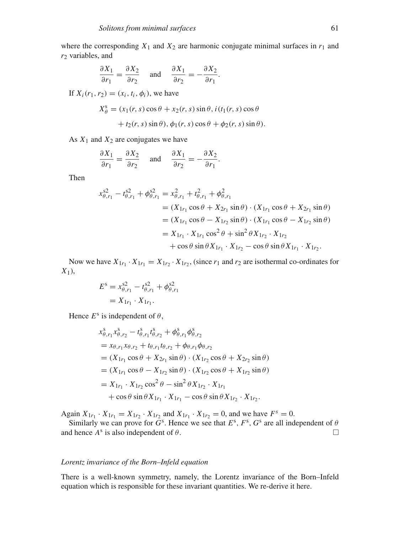where the corresponding  $X_1$  and  $X_2$  are harmonic conjugate minimal surfaces in  $r_1$  and *r*<sup>2</sup> variables, and

$$
\frac{\partial X_1}{\partial r_1} = \frac{\partial X_2}{\partial r_2} \quad \text{and} \quad \frac{\partial X_1}{\partial r_2} = -\frac{\partial X_2}{\partial r_1}.
$$

If  $X_i(r_1, r_2) = (x_i, t_i, \phi_i)$ , we have

$$
X_{\theta}^{s} = (x_1(r, s)\cos\theta + x_2(r, s)\sin\theta, i(t_1(r, s)\cos\theta
$$

$$
+ t_2(r, s)\sin\theta), \phi_1(r, s)\cos\theta + \phi_2(r, s)\sin\theta).
$$

As  $X_1$  and  $X_2$  are conjugates we have

$$
\frac{\partial X_1}{\partial r_1} = \frac{\partial X_2}{\partial r_2} \quad \text{and} \quad \frac{\partial X_1}{\partial r_2} = -\frac{\partial X_2}{\partial r_1}.
$$

Then

$$
x_{\theta,r_1}^{s2} - t_{\theta,r_1}^{s2} + \phi_{\theta,r_1}^{s2} = x_{\theta,r_1}^2 + t_{\theta,r_1}^2 + \phi_{\theta,r_1}^2
$$
  
=  $(X_{1r_1} \cos \theta + X_{2r_1} \sin \theta) \cdot (X_{1r_1} \cos \theta + X_{2r_1} \sin \theta)$   
=  $(X_{1r_1} \cos \theta - X_{1r_2} \sin \theta) \cdot (X_{1r_1} \cos \theta - X_{1r_2} \sin \theta)$   
=  $X_{1r_1} \cdot X_{1r_1} \cos^2 \theta + \sin^2 \theta X_{1r_2} \cdot X_{1r_2}$   
+  $\cos \theta \sin \theta X_{1r_1} \cdot X_{1r_2} - \cos \theta \sin \theta X_{1r_1} \cdot X_{1r_2}.$ 

Now we have  $X_{1r_1} \cdot X_{1r_1} = X_{1r_2} \cdot X_{1r_2}$ , (since  $r_1$  and  $r_2$  are isothermal co-ordinates for *X*1),

$$
E^{s} = x_{\theta, r_1}^{s_2} - t_{\theta, r_1}^{s_2} + \phi_{\theta, r_1}^{s_2}
$$
  
=  $X_{1r_1} \cdot X_{1r_1}$ .

Hence  $E^s$  is independent of  $\theta$ ,

$$
x_{\theta,r_1}^s x_{\theta,r_2}^s - t_{\theta,r_1}^s t_{\theta,r_2}^s + \phi_{\theta,r_1}^s \phi_{\theta,r_2}^s
$$
  
=  $x_{\theta,r_1} x_{\theta,r_2} + t_{\theta,r_1} t_{\theta,r_2} + \phi_{\theta,r_1} \phi_{\theta,r_2}$   
=  $(X_{1r_1} \cos \theta + X_{2r_1} \sin \theta) \cdot (X_{1r_2} \cos \theta + X_{2r_2} \sin \theta)$   
=  $(X_{1r_1} \cos \theta - X_{1r_2} \sin \theta) \cdot (X_{1r_2} \cos \theta + X_{1r_2} \sin \theta)$   
=  $X_{1r_1} \cdot X_{1r_2} \cos^2 \theta - \sin^2 \theta X_{1r_2} \cdot X_{1r_1}$   
+  $\cos \theta \sin \theta X_{1r_1} \cdot X_{1r_1} - \cos \theta \sin \theta X_{1r_2} \cdot X_{1r_2}$ .

Again  $X_{1r_1} \cdot X_{1r_1} = X_{1r_2} \cdot X_{1r_2}$  and  $X_{1r_1} \cdot X_{1r_2} = 0$ , and we have  $F^s = 0$ .

Similarly we can prove for  $G^s$ . Hence we see that  $E^s$ ,  $F^s$ ,  $G^s$  are all independent of  $\theta$ and hence  $A^s$  is also independent of  $\theta$ .

#### *Lorentz invariance of the Born–Infeld equation*

There is a well-known symmetry, namely, the Lorentz invariance of the Born–Infeld equation which is responsible for these invariant quantities. We re-derive it here.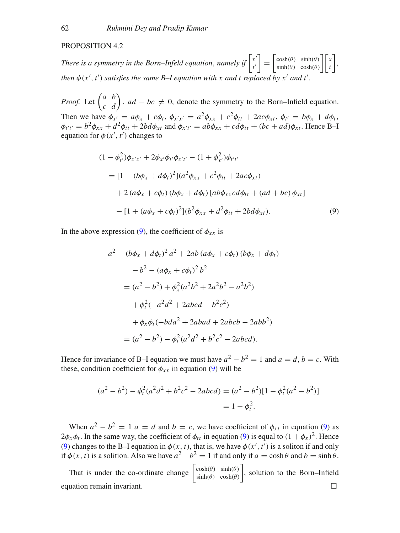### PROPOSITION 4.2

*There is a symmetry in the Born–Infeld equation, namely if*  $\left| \begin{array}{c} x' \\ y' \end{array} \right|$ *t*  $= \begin{bmatrix} \cosh(\theta) & \sinh(\theta) \\ \sinh(\theta) & \cosh(\theta) \end{bmatrix} x$  $\vert$ , *then*  $\phi$ ( $x'$ ,  $t'$ ) *satisfies the same B–I equation with* x and t replaced by  $x'$  and t *.*

*Proof.* Let  $\begin{pmatrix} a & b \\ c & d \end{pmatrix}$ ,  $ad - bc \neq 0$ , denote the symmetry to the Born–Infield equation. Then we have  $\phi_{x'} = a\phi_x + c\phi_t$ ,  $\phi_{x'x'} = a^2\phi_{xx} + c^2\phi_{tt} + 2ac\phi_{xt}$ ,  $\phi_{t'} = b\phi_x + d\phi_t$ ,  $\phi_{t't'} = b^2 \phi_{xx} + d^2 \phi_{tt} + 2bd \phi_{xt}$  and  $\phi_{x't'} = ab \phi_{xx} + cd \phi_{tt} + (bc + ad) \phi_{xt}$ . Hence B-I equation for  $\phi(x', t')$  changes to

$$
(1 - \phi_{t'}^2)\phi_{x'x'} + 2\phi_{x'}\phi_{t'}\phi_{x't'} - (1 + \phi_{x'}^2)\phi_{t't'}
$$
  
= 
$$
[1 - (b\phi_x + d\phi_t)^2](a^2\phi_{xx} + c^2\phi_{tt} + 2ac\phi_{xt})
$$
  
+ 
$$
2(a\phi_x + c\phi_t)(b\phi_x + d\phi_t)[ab\phi_{xx}cd\phi_{tt} + (ad + bc)\phi_{xt}]
$$
  
- 
$$
[1 + (a\phi_x + c\phi_t)^2](b^2\phi_{xx} + d^2\phi_{tt} + 2bd\phi_{xt}).
$$
 (9)

In the above expression [\(9\)](#page-7-0), the coefficient of  $\phi_{xx}$  is

<span id="page-7-0"></span>
$$
a^{2} - (b\phi_{x} + d\phi_{t})^{2} a^{2} + 2ab (a\phi_{x} + c\phi_{t}) (b\phi_{x} + d\phi_{t})
$$
  
\n
$$
-b^{2} - (a\phi_{x} + c\phi_{t})^{2} b^{2}
$$
  
\n
$$
= (a^{2} - b^{2}) + \phi_{x}^{2} (a^{2}b^{2} + 2a^{2}b^{2} - a^{2}b^{2})
$$
  
\n
$$
+ \phi_{t}^{2} (-a^{2}d^{2} + 2abcd - b^{2}c^{2})
$$
  
\n
$$
+ \phi_{x}\phi_{t} (-bda^{2} + 2abad + 2abcb - 2abb^{2})
$$
  
\n
$$
= (a^{2} - b^{2}) - \phi_{t}^{2} (a^{2}d^{2} + b^{2}c^{2} - 2abcd).
$$

Hence for invariance of B–I equation we must have  $a^2 - b^2 = 1$  and  $a = d$ ,  $b = c$ . With these, condition coefficient for  $\phi_{xx}$  in equation [\(9\)](#page-7-0) will be

$$
(a2 - b2) - \phit2 (a2d2 + b2c2 - 2abcd) = (a2 - b2)[1 - \phit2 (a2 - b2)]
$$
  
= 1 - \phi<sub>t</sub><sup>2</sup>.

When  $a^2 - b^2 = 1$  *a* = *d* and *b* = *c*, we have coefficient of  $\phi_{xt}$  in equation [\(9\)](#page-7-0) as  $2\phi_x\phi_t$ . In the same way, the coefficient of  $\phi_{tt}$  in equation [\(9\)](#page-7-0) is equal to  $(1 + \phi_x)^2$ . Hence [\(9\)](#page-7-0) changes to the B-I equation in  $\phi(x, t)$ , that is, we have  $\phi(x', t')$  is a soliton if and only if  $\phi(x, t)$  is a solition. Also we have  $a^2 - b^2 = 1$  if and only if  $a = \cosh \theta$  and  $b = \sinh \theta$ .

That is under the co-ordinate change  $\begin{bmatrix} \cosh(\theta) & \sinh(\theta) \\ \sinh(\theta) & \cosh(\theta) \end{bmatrix}$ , solution to the Born–Infield equation remain invariant.  $\Box$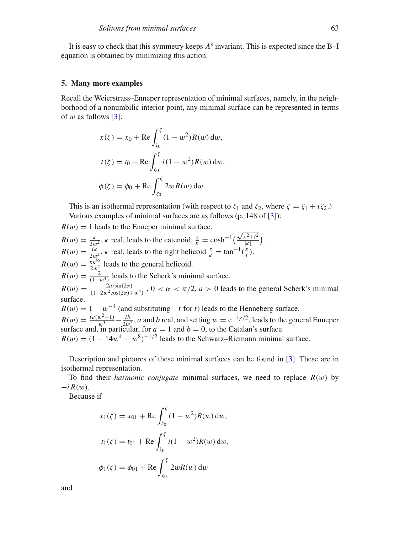It is easy to check that this symmetry keeps *A*<sup>s</sup> invariant. This is expected since the B–I equation is obtained by minimizing this action.

#### **5. Many more examples**

Recall the Weierstrass–Enneper representation of minimal surfaces, namely, in the neighborhood of a nonumbilic interior point, any minimal surface can be represented in terms of w as follows  $[3]$ :

$$
x(\zeta) = x_0 + \text{Re} \int_{\zeta_0}^{\zeta} (1 - w^2) R(w) \, dw,
$$
  

$$
t(\zeta) = t_0 + \text{Re} \int_{\zeta_0}^{\zeta} i(1 + w^2) R(w) \, dw,
$$
  

$$
\phi(\zeta) = \phi_0 + \text{Re} \int_{\zeta_0}^{\zeta} 2w R(w) \, dw.
$$

This is an isothermal representation (with respect to  $\zeta_1$  and  $\zeta_2$ , where  $\zeta = \zeta_1 + i\zeta_2$ .) Various examples of minimal surfaces are as follows (p. 148 of [\[3\]](#page-10-3)):

 $R(w) = 1$  leads to the Enneper minimal surface.  $R(w) = \frac{\kappa}{2w^2}$ ,  $\kappa$  real, leads to the catenoid,  $\frac{z}{\kappa} = \cosh^{-1}\left(\frac{z}{\kappa}\right)$  $\sqrt{x^2+t^2}$  $\frac{x^2+1^2}{|\kappa|}$ ).  $R(w) = \frac{i\kappa}{2w^2}$ ,  $\kappa$  real, leads to the right helicoid  $\frac{z}{\kappa} = \tan^{-1}(\frac{x}{t})$ .  $R(w) = \frac{\kappa e^{i\alpha}}{2w_2^2}$  leads to the general helicoid.  $R(w) = \frac{2}{(1-w^4)}$  leads to the Scherk's minimal surface.  $R(w) = \frac{-2a\sin(2\alpha)}{(1+2w^2\cos(2\alpha)+w^4)}$ ,  $0 < \alpha < \pi/2$ ,  $a > 0$  leads to the general Scherk's minimal surface.  $R(w) = 1 - w^{-4}$  (and substituting  $-t$  for *t*) leads to the Henneberg surface.  $R(w) = \frac{i a (w^2 - 1)}{w^3} - \frac{i b}{2w^2}$ , *a* and *b* real, and setting  $w = e^{-i \gamma/2}$ , leads to the general Enneper surface and, in particular, for  $a = 1$  and  $b = 0$ , to the Catalan's surface.  $R(w) = (1 - 14w^4 + w^8)^{-1/2}$  leads to the Schwarz–Riemann minimal surface.

Description and pictures of these minimal surfaces can be found in [\[3\]](#page-10-3). These are in isothermal representation.

To find their *harmonic conjugate* minimal surfaces, we need to replace  $R(w)$  by  $-i R(w)$ .

Because if

$$
x_1(\zeta) = x_{01} + \text{Re} \int_{\zeta_0}^{\zeta} (1 - w^2) R(w) \, dw,
$$
  

$$
t_1(\zeta) = t_{01} + \text{Re} \int_{\zeta_0}^{\zeta} i(1 + w^2) R(w) \, dw,
$$
  

$$
\phi_1(\zeta) = \phi_{01} + \text{Re} \int_{\zeta_0}^{\zeta} 2w R(w) \, dw
$$

and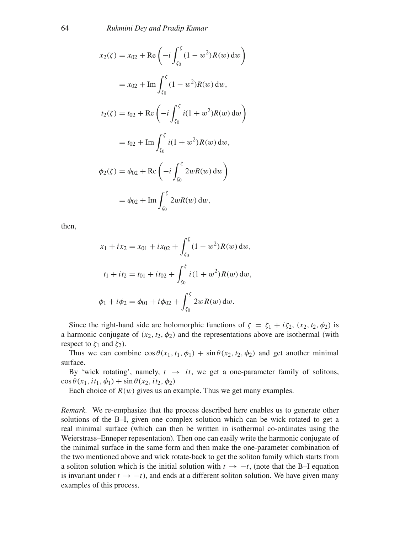$$
x_2(\zeta) = x_{02} + \text{Re}\left(-i\int_{\zeta_0}^{\zeta} (1 - w^2)R(w) dw\right)
$$
  

$$
= x_{02} + \text{Im}\int_{\zeta_0}^{\zeta} (1 - w^2)R(w) dw,
$$
  

$$
t_2(\zeta) = t_{02} + \text{Re}\left(-i\int_{\zeta_0}^{\zeta} i(1 + w^2)R(w) dw\right)
$$
  

$$
= t_{02} + \text{Im}\int_{\zeta_0}^{\zeta} i(1 + w^2)R(w) dw,
$$
  

$$
\phi_2(\zeta) = \phi_{02} + \text{Re}\left(-i\int_{\zeta_0}^{\zeta} 2wR(w) dw\right)
$$
  

$$
= \phi_{02} + \text{Im}\int_{\zeta_0}^{\zeta} 2wR(w) dw,
$$

then,

$$
x_1 + ix_2 = x_{01} + ix_{02} + \int_{\zeta_0}^{\zeta} (1 - w^2) R(w) dw,
$$
  
\n
$$
t_1 + it_2 = t_{01} + it_{02} + \int_{\zeta_0}^{\zeta} i (1 + w^2) R(w) dw,
$$
  
\n
$$
\phi_1 + i \phi_2 = \phi_{01} + i \phi_{02} + \int_{\zeta_0}^{\zeta} 2w R(w) dw.
$$

Since the right-hand side are holomorphic functions of  $\zeta = \zeta_1 + i\zeta_2$ ,  $(x_2, t_2, \phi_2)$  is a harmonic conjugate of  $(x_2, t_2, \phi_2)$  and the representations above are isothermal (with respect to  $\zeta_1$  and  $\zeta_2$ ).

Thus we can combine  $\cos \theta(x_1, t_1, \phi_1) + \sin \theta(x_2, t_2, \phi_2)$  and get another minimal surface.

By 'wick rotating', namely,  $t \rightarrow it$ , we get a one-parameter family of solitons,  $\cos \theta(x_1, it_1, \phi_1) + \sin \theta(x_2, it_2, \phi_2)$ 

Each choice of  $R(w)$  gives us an example. Thus we get many examples.

*Remark.* We re-emphasize that the process described here enables us to generate other solutions of the B–I, given one complex solution which can be wick rotated to get a real minimal surface (which can then be written in isothermal co-ordinates using the Weierstrass–Enneper repesentation). Then one can easily write the harmonic conjugate of the minimal surface in the same form and then make the one-parameter combination of the two mentioned above and wick rotate-back to get the soliton family which starts from a soliton solution which is the initial solution with  $t \rightarrow -t$ , (note that the B–I equation is invariant under  $t \to -t$ ), and ends at a different soliton solution. We have given many examples of this process.